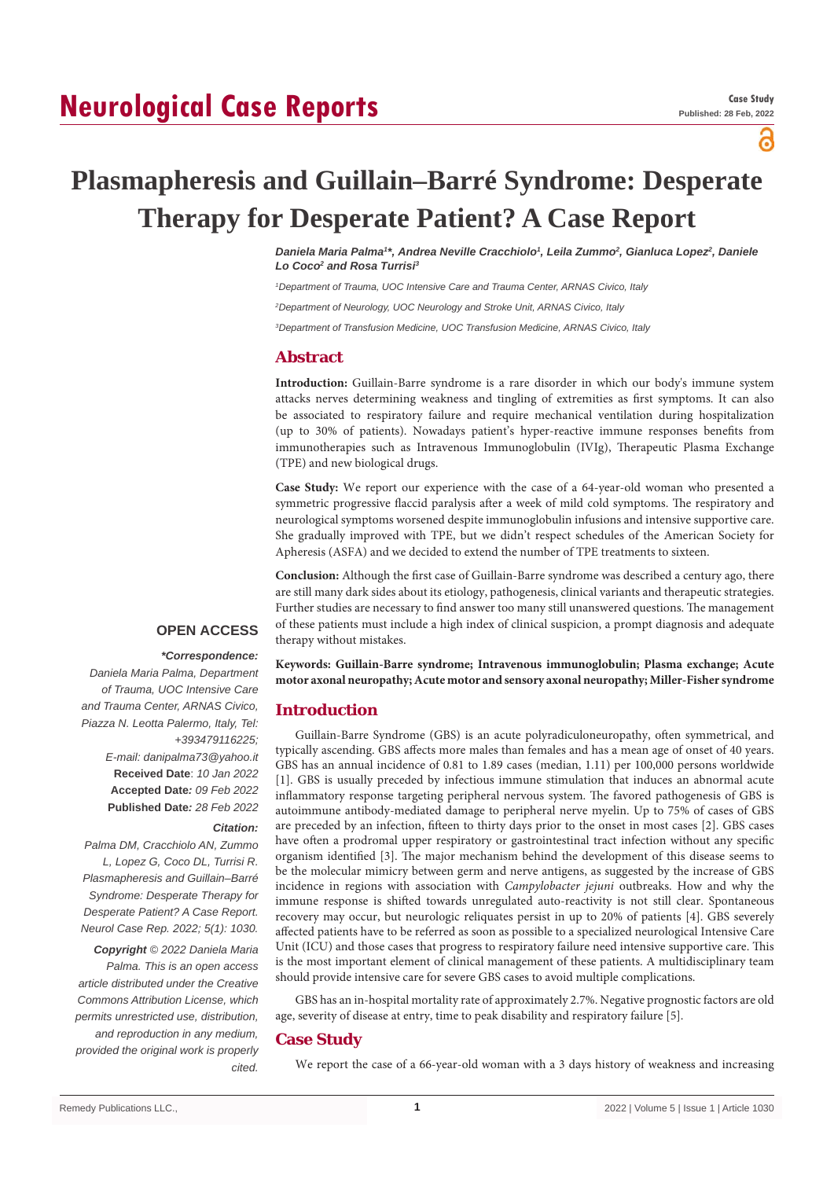# **Neurological Case Reports**

പ്പ

# **Plasmapheresis and Guillain–Barré Syndrome: Desperate Therapy for Desperate Patient? A Case Report**

*Daniela Maria Palma1 \*, Andrea Neville Cracchiolo1 , Leila Zummo2 , Gianluca Lopez2 , Daniele*  Lo Coco<sup>2</sup> and Rosa Turrisi<sup>3</sup>

*1 Department of Trauma, UOC Intensive Care and Trauma Center, ARNAS Civico, Italy*

*2 Department of Neurology, UOC Neurology and Stroke Unit, ARNAS Civico, Italy*

*3 Department of Transfusion Medicine, UOC Transfusion Medicine, ARNAS Civico, Italy*

## **Abstract**

**Introduction:** Guillain-Barre syndrome is a rare disorder in which our body's immune system attacks nerves determining weakness and tingling of extremities as first symptoms. It can also be associated to respiratory failure and require mechanical ventilation during hospitalization (up to 30% of patients). Nowadays patient's hyper-reactive immune responses benefits from immunotherapies such as Intravenous Immunoglobulin (IVIg), Therapeutic Plasma Exchange (TPE) and new biological drugs.

**Case Study:** We report our experience with the case of a 64-year-old woman who presented a symmetric progressive flaccid paralysis after a week of mild cold symptoms. The respiratory and neurological symptoms worsened despite immunoglobulin infusions and intensive supportive care. She gradually improved with TPE, but we didn't respect schedules of the American Society for Apheresis (ASFA) and we decided to extend the number of TPE treatments to sixteen.

**Conclusion:** Although the first case of Guillain-Barre syndrome was described a century ago, there are still many dark sides about its etiology, pathogenesis, clinical variants and therapeutic strategies. Further studies are necessary to find answer too many still unanswered questions. The management of these patients must include a high index of clinical suspicion, a prompt diagnosis and adequate therapy without mistakes.

## **OPEN ACCESS**

#### *\*Correspondence:*

*Daniela Maria Palma, Department of Trauma, UOC Intensive Care and Trauma Center, ARNAS Civico, Piazza N. Leotta Palermo, Italy, Tel: +393479116225; E-mail: danipalma73@yahoo.it* **Received Date**: *10 Jan 2022* **Accepted Date***: 09 Feb 2022* **Published Date***: 28 Feb 2022*

#### *Citation:*

*Palma DM, Cracchiolo AN, Zummo L, Lopez G, Coco DL, Turrisi R. Plasmapheresis and Guillain–Barré Syndrome: Desperate Therapy for Desperate Patient? A Case Report. Neurol Case Rep. 2022; 5(1): 1030.*

*Copyright © 2022 Daniela Maria Palma. This is an open access article distributed under the Creative Commons Attribution License, which permits unrestricted use, distribution, and reproduction in any medium, provided the original work is properly cited.*

**Keywords: Guillain-Barre syndrome; Intravenous immunoglobulin; Plasma exchange; Acute motor axonal neuropathy; Acute motor and sensory axonal neuropathy; Miller-Fisher syndrome**

### **Introduction**

Guillain-Barre Syndrome (GBS) is an acute polyradiculoneuropathy, often symmetrical, and typically ascending. GBS affects more males than females and has a mean age of onset of 40 years. GBS has an annual incidence of 0.81 to 1.89 cases (median, 1.11) per 100,000 persons worldwide [1]. GBS is usually preceded by infectious immune stimulation that induces an abnormal acute inflammatory response targeting peripheral nervous system. The favored pathogenesis of GBS is autoimmune antibody-mediated damage to peripheral nerve myelin. Up to 75% of cases of GBS are preceded by an infection, fifteen to thirty days prior to the onset in most cases [2]. GBS cases have often a prodromal upper respiratory or gastrointestinal tract infection without any specific organism identified [3]. The major mechanism behind the development of this disease seems to be the molecular mimicry between germ and nerve antigens, as suggested by the increase of GBS incidence in regions with association with *Campylobacter jejuni* outbreaks. How and why the immune response is shifted towards unregulated auto-reactivity is not still clear. Spontaneous recovery may occur, but neurologic reliquates persist in up to 20% of patients [4]. GBS severely affected patients have to be referred as soon as possible to a specialized neurological Intensive Care Unit (ICU) and those cases that progress to respiratory failure need intensive supportive care. This is the most important element of clinical management of these patients. A multidisciplinary team should provide intensive care for severe GBS cases to avoid multiple complications.

GBS has an in-hospital mortality rate of approximately 2.7%. Negative prognostic factors are old age, severity of disease at entry, time to peak disability and respiratory failure [5].

### **Case Study**

We report the case of a 66-year-old woman with a 3 days history of weakness and increasing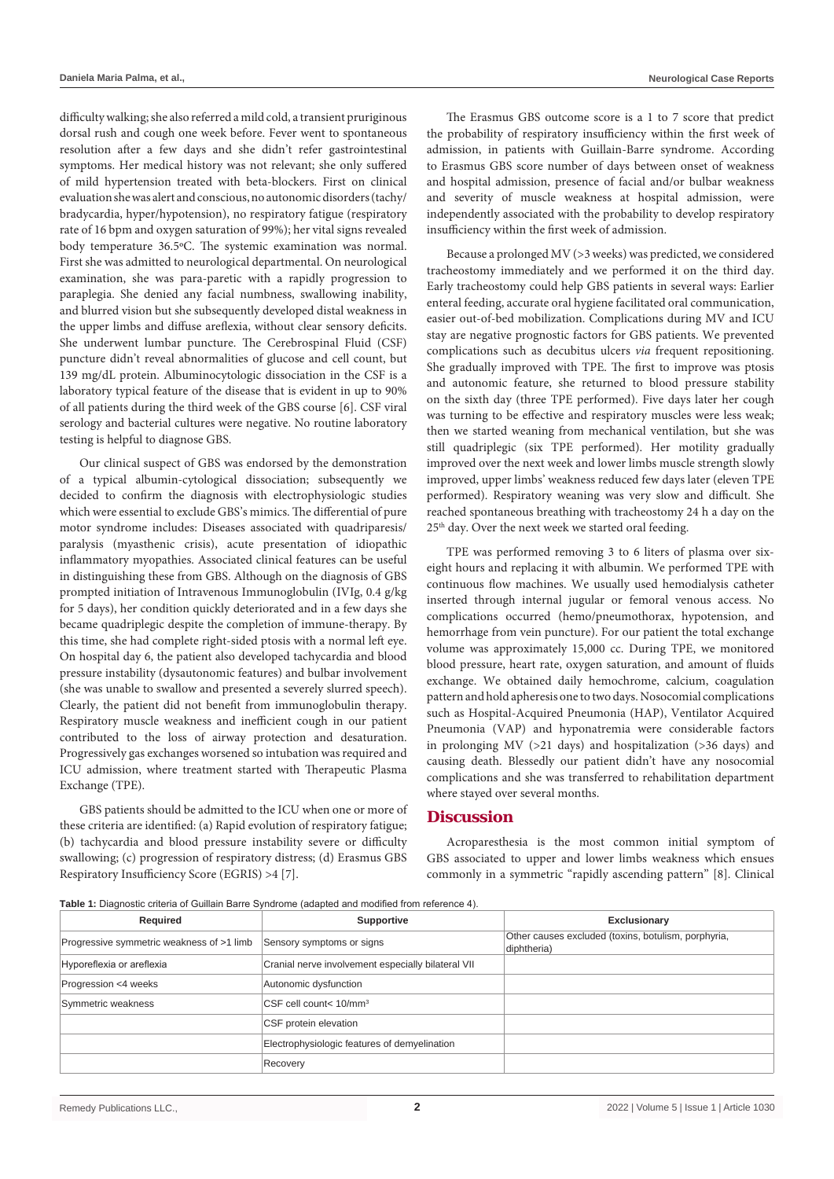difficulty walking; she also referred a mild cold, a transient pruriginous dorsal rush and cough one week before. Fever went to spontaneous resolution after a few days and she didn't refer gastrointestinal symptoms. Her medical history was not relevant; she only suffered of mild hypertension treated with beta-blockers. First on clinical evaluation she was alert and conscious, no autonomic disorders (tachy/ bradycardia, hyper/hypotension), no respiratory fatigue (respiratory rate of 16 bpm and oxygen saturation of 99%); her vital signs revealed body temperature 36.5ºC. The systemic examination was normal. First she was admitted to neurological departmental. On neurological examination, she was para-paretic with a rapidly progression to paraplegia. She denied any facial numbness, swallowing inability, and blurred vision but she subsequently developed distal weakness in the upper limbs and diffuse areflexia, without clear sensory deficits. She underwent lumbar puncture. The Cerebrospinal Fluid (CSF) puncture didn't reveal abnormalities of glucose and cell count, but 139 mg/dL protein. Albuminocytologic dissociation in the CSF is a laboratory typical feature of the disease that is evident in up to 90% of all patients during the third week of the GBS course [6]. CSF viral serology and bacterial cultures were negative. No routine laboratory testing is helpful to diagnose GBS.

Our clinical suspect of GBS was endorsed by the demonstration of a typical albumin-cytological dissociation; subsequently we decided to confirm the diagnosis with electrophysiologic studies which were essential to exclude GBS's mimics. The differential of pure motor syndrome includes: Diseases associated with quadriparesis/ paralysis (myasthenic crisis), acute presentation of idiopathic inflammatory myopathies. Associated clinical features can be useful in distinguishing these from GBS. Although on the diagnosis of GBS prompted initiation of Intravenous Immunoglobulin (IVIg, 0.4 g/kg for 5 days), her condition quickly deteriorated and in a few days she became quadriplegic despite the completion of immune-therapy. By this time, she had complete right-sided ptosis with a normal left eye. On hospital day 6, the patient also developed tachycardia and blood pressure instability (dysautonomic features) and bulbar involvement (she was unable to swallow and presented a severely slurred speech). Clearly, the patient did not benefit from immunoglobulin therapy. Respiratory muscle weakness and inefficient cough in our patient contributed to the loss of airway protection and desaturation. Progressively gas exchanges worsened so intubation was required and ICU admission, where treatment started with Therapeutic Plasma Exchange (TPE).

GBS patients should be admitted to the ICU when one or more of these criteria are identified: (a) Rapid evolution of respiratory fatigue; (b) tachycardia and blood pressure instability severe or difficulty swallowing; (c) progression of respiratory distress; (d) Erasmus GBS Respiratory Insufficiency Score (EGRIS) >4 [7].

The Erasmus GBS outcome score is a 1 to 7 score that predict the probability of respiratory insufficiency within the first week of admission, in patients with Guillain-Barre syndrome. According to Erasmus GBS score number of days between onset of weakness and hospital admission, presence of facial and/or bulbar weakness and severity of muscle weakness at hospital admission, were independently associated with the probability to develop respiratory insufficiency within the first week of admission.

Because a prolonged MV (>3 weeks) was predicted, we considered tracheostomy immediately and we performed it on the third day. Early tracheostomy could help GBS patients in several ways: Earlier enteral feeding, accurate oral hygiene facilitated oral communication, easier out-of-bed mobilization. Complications during MV and ICU stay are negative prognostic factors for GBS patients. We prevented complications such as decubitus ulcers *via* frequent repositioning. She gradually improved with TPE. The first to improve was ptosis and autonomic feature, she returned to blood pressure stability on the sixth day (three TPE performed). Five days later her cough was turning to be effective and respiratory muscles were less weak; then we started weaning from mechanical ventilation, but she was still quadriplegic (six TPE performed). Her motility gradually improved over the next week and lower limbs muscle strength slowly improved, upper limbs' weakness reduced few days later (eleven TPE performed). Respiratory weaning was very slow and difficult. She reached spontaneous breathing with tracheostomy 24 h a day on the 25th day. Over the next week we started oral feeding.

TPE was performed removing 3 to 6 liters of plasma over sixeight hours and replacing it with albumin. We performed TPE with continuous flow machines. We usually used hemodialysis catheter inserted through internal jugular or femoral venous access. No complications occurred (hemo/pneumothorax, hypotension, and hemorrhage from vein puncture). For our patient the total exchange volume was approximately 15,000 cc. During TPE, we monitored blood pressure, heart rate, oxygen saturation, and amount of fluids exchange. We obtained daily hemochrome, calcium, coagulation pattern and hold apheresis one to two days. Nosocomial complications such as Hospital-Acquired Pneumonia (HAP), Ventilator Acquired Pneumonia (VAP) and hyponatremia were considerable factors in prolonging MV (>21 days) and hospitalization (>36 days) and causing death. Blessedly our patient didn't have any nosocomial complications and she was transferred to rehabilitation department where stayed over several months.

### **Discussion**

Acroparesthesia is the most common initial symptom of GBS associated to upper and lower limbs weakness which ensues commonly in a symmetric "rapidly ascending pattern" [8]. Clinical

**Table 1:** Diagnostic criteria of Guillain Barre Syndrome (adapted and modified from reference 4).

| Required                                  | <b>Supportive</b>                                  | Exclusionary                                                       |
|-------------------------------------------|----------------------------------------------------|--------------------------------------------------------------------|
| Progressive symmetric weakness of >1 limb | Sensory symptoms or signs                          | Other causes excluded (toxins, botulism, porphyria,<br>diphtheria) |
| Hyporeflexia or areflexia                 | Cranial nerve involvement especially bilateral VII |                                                                    |
| Progression <4 weeks                      | Autonomic dysfunction                              |                                                                    |
| Symmetric weakness                        | CSF cell count< 10/mm <sup>3</sup>                 |                                                                    |
|                                           | CSF protein elevation                              |                                                                    |
|                                           | Electrophysiologic features of demyelination       |                                                                    |
|                                           | Recovery                                           |                                                                    |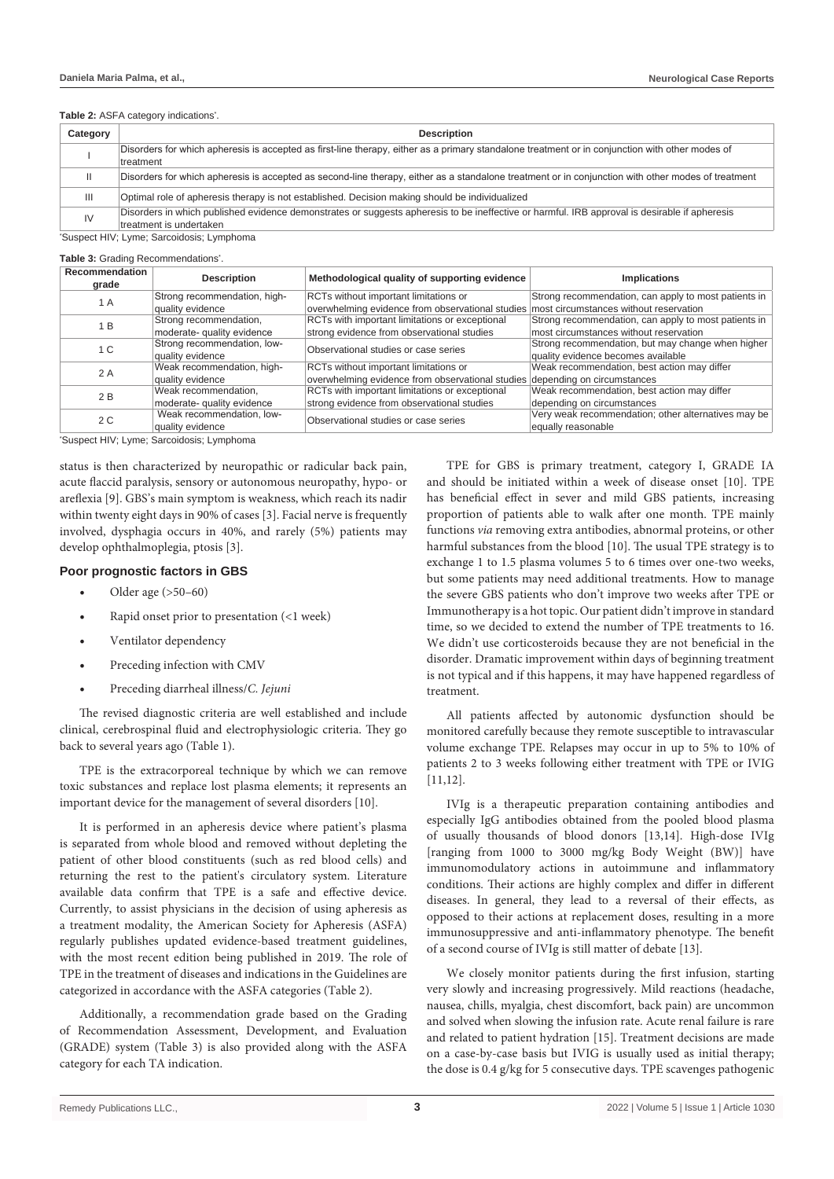#### **Table 2:** ASFA category indications<sup>:</sup>.

| Category | <b>Description</b>                                                                                                                                 |  |
|----------|----------------------------------------------------------------------------------------------------------------------------------------------------|--|
|          | Disorders for which apheresis is accepted as first-line therapy, either as a primary standalone treatment or in conjunction with other modes of    |  |
|          | treatment                                                                                                                                          |  |
|          | Disorders for which apheresis is accepted as second-line therapy, either as a standalone treatment or in conjunction with other modes of treatment |  |
| Ш        | Optimal role of apheresis therapy is not established. Decision making should be individualized                                                     |  |
| IV       | Disorders in which published evidence demonstrates or suggests apheresis to be ineffective or harmful. IRB approval is desirable if apheresis      |  |
|          | treatment is undertaken                                                                                                                            |  |

\* Suspect HIV; Lyme; Sarcoidosis; Lymphoma

Table 3: Grading Recommendations<sup>\*</sup>.

| Recommendation<br>grade | <b>Description</b>           | Methodological quality of supporting evidence                                           | <b>Implications</b>                                  |
|-------------------------|------------------------------|-----------------------------------------------------------------------------------------|------------------------------------------------------|
| 1 A                     | Strong recommendation, high- | RCTs without important limitations or                                                   | Strong recommendation, can apply to most patients in |
|                         | quality evidence             | overwhelming evidence from observational studies most circumstances without reservation |                                                      |
| 1 B                     | Strong recommendation,       | RCTs with important limitations or exceptional                                          | Strong recommendation, can apply to most patients in |
|                         | moderate- quality evidence   | strong evidence from observational studies                                              | most circumstances without reservation               |
| 1 C                     | Strong recommendation, low-  | Observational studies or case series                                                    | Strong recommendation, but may change when higher    |
|                         | quality evidence             |                                                                                         | quality evidence becomes available                   |
| 2 A                     | Weak recommendation, high-   | RCTs without important limitations or                                                   | Weak recommendation, best action may differ          |
|                         | quality evidence             | overwhelming evidence from observational studies depending on circumstances             |                                                      |
| 2 B                     | Weak recommendation,         | RCTs with important limitations or exceptional                                          | Weak recommendation, best action may differ          |
|                         | moderate- quality evidence   | strong evidence from observational studies                                              | depending on circumstances                           |
| 2 C                     | Weak recommendation, low-    | Observational studies or case series                                                    | Very weak recommendation; other alternatives may be  |
|                         | quality evidence             |                                                                                         | equally reasonable                                   |

\* Suspect HIV; Lyme; Sarcoidosis; Lymphoma

status is then characterized by neuropathic or radicular back pain, acute flaccid paralysis, sensory or autonomous neuropathy, hypo- or areflexia [9]. GBS's main symptom is weakness, which reach its nadir within twenty eight days in 90% of cases [3]. Facial nerve is frequently involved, dysphagia occurs in 40%, and rarely (5%) patients may develop ophthalmoplegia, ptosis [3].

#### **Poor prognostic factors in GBS**

- Older age  $(>50-60)$
- Rapid onset prior to presentation (<1 week)
- Ventilator dependency
- Preceding infection with CMV
- Preceding diarrheal illness/*C. Jejuni*

The revised diagnostic criteria are well established and include clinical, cerebrospinal fluid and electrophysiologic criteria. They go back to several years ago (Table 1).

TPE is the extracorporeal technique by which we can remove toxic substances and replace lost plasma elements; it represents an important device for the management of several disorders [10].

It is performed in an apheresis device where patient's plasma is separated from whole blood and removed without depleting the patient of other blood constituents (such as red blood cells) and returning the rest to the patient's circulatory system. Literature available data confirm that TPE is a safe and effective device. Currently, to assist physicians in the decision of using apheresis as a treatment modality, the American Society for Apheresis (ASFA) regularly publishes updated evidence-based treatment guidelines, with the most recent edition being published in 2019. The role of TPE in the treatment of diseases and indications in the Guidelines are categorized in accordance with the ASFA categories (Table 2).

Additionally, a recommendation grade based on the Grading of Recommendation Assessment, Development, and Evaluation (GRADE) system (Table 3) is also provided along with the ASFA category for each TA indication.

TPE for GBS is primary treatment, category I, GRADE IA and should be initiated within a week of disease onset [10]. TPE has beneficial effect in sever and mild GBS patients, increasing proportion of patients able to walk after one month. TPE mainly functions *via* removing extra antibodies, abnormal proteins, or other harmful substances from the blood [10]. The usual TPE strategy is to exchange 1 to 1.5 plasma volumes 5 to 6 times over one-two weeks, but some patients may need additional treatments. How to manage the severe GBS patients who don't improve two weeks after TPE or Immunotherapy is a hot topic. Our patient didn't improve in standard time, so we decided to extend the number of TPE treatments to 16. We didn't use corticosteroids because they are not beneficial in the disorder. Dramatic improvement within days of beginning treatment is not typical and if this happens, it may have happened regardless of treatment.

All patients affected by autonomic dysfunction should be monitored carefully because they remote susceptible to intravascular volume exchange TPE. Relapses may occur in up to 5% to 10% of patients 2 to 3 weeks following either treatment with TPE or IVIG [11,12].

IVIg is a therapeutic preparation containing antibodies and especially IgG antibodies obtained from the pooled blood plasma of usually thousands of blood donors [13,14]. High-dose IVIg [ranging from 1000 to 3000 mg/kg Body Weight (BW)] have immunomodulatory actions in autoimmune and inflammatory conditions. Their actions are highly complex and differ in different diseases. In general, they lead to a reversal of their effects, as opposed to their actions at replacement doses, resulting in a more immunosuppressive and anti-inflammatory phenotype. The benefit of a second course of IVIg is still matter of debate [13].

We closely monitor patients during the first infusion, starting very slowly and increasing progressively. Mild reactions (headache, nausea, chills, myalgia, chest discomfort, back pain) are uncommon and solved when slowing the infusion rate. Acute renal failure is rare and related to patient hydration [15]. Treatment decisions are made on a case-by-case basis but IVIG is usually used as initial therapy; the dose is 0.4 g/kg for 5 consecutive days. TPE scavenges pathogenic